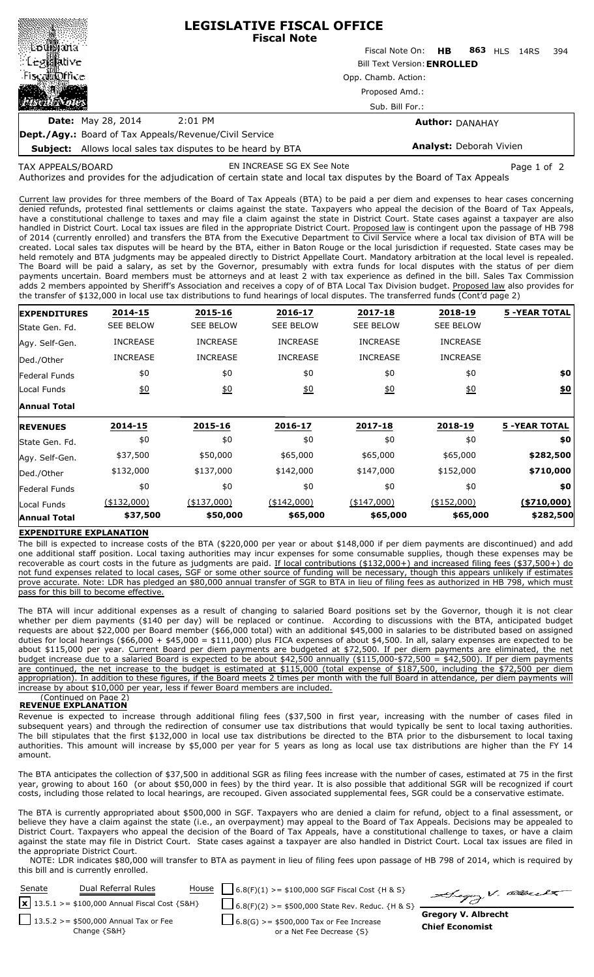|                                                               | <b>LEGISLATIVE FISCAL OFFICE</b><br><b>Fiscal Note</b>    |  |  |  |  |  |
|---------------------------------------------------------------|-----------------------------------------------------------|--|--|--|--|--|
|                                                               | Fiscal Note On: <b>HB</b><br>863 HLS 14RS<br>394          |  |  |  |  |  |
| : Le                                                          | <b>Bill Text Version: ENROLLED</b><br>Opp. Chamb. Action: |  |  |  |  |  |
| Fiscal of the e                                               |                                                           |  |  |  |  |  |
| 花瓣                                                            | Proposed Amd.:                                            |  |  |  |  |  |
|                                                               | Sub. Bill For.:                                           |  |  |  |  |  |
| <b>Date:</b> May 28, 2014<br>$2:01$ PM                        | <b>Author: DANAHAY</b>                                    |  |  |  |  |  |
| <b>Dept./Agy.:</b> Board of Tax Appeals/Revenue/Civil Service |                                                           |  |  |  |  |  |

**Subject:** Allows local sales tax disputes to be heard by BTA

**Analyst:** Deborah Vivien

TAX APPEALS/BOARD

EN INCREASE SG EX See Note Page 1 of 2

Authorizes and provides for the adjudication of certain state and local tax disputes by the Board of Tax Appeals

Current law provides for three members of the Board of Tax Appeals (BTA) to be paid a per diem and expenses to hear cases concerning denied refunds, protested final settlements or claims against the state. Taxpayers who appeal the decision of the Board of Tax Appeals, have a constitutional challenge to taxes and may file a claim against the state in District Court. State cases against a taxpayer are also handled in District Court. Local tax issues are filed in the appropriate District Court. Proposed law is contingent upon the passage of HB 798 of 2014 (currently enrolled) and transfers the BTA from the Executive Department to Civil Service where a local tax division of BTA will be created. Local sales tax disputes will be heard by the BTA, either in Baton Rouge or the local jurisdiction if requested. State cases may be held remotely and BTA judgments may be appealed directly to District Appellate Court. Mandatory arbitration at the local level is repealed. The Board will be paid a salary, as set by the Governor, presumably with extra funds for local disputes with the status of per diem payments uncertain. Board members must be attorneys and at least 2 with tax experience as defined in the bill. Sales Tax Commission adds 2 members appointed by Sheriff's Association and receives a copy of of BTA Local Tax Division budget. Proposed law also provides for the transfer of \$132,000 in local use tax distributions to fund hearings of local disputes. The transferred funds (Cont'd page 2)

| <b>EXPENDITURES</b> | 2014-15          | 2015-16          | 2016-17          | 2017-18          | 2018-19          | <b>5 -YEAR TOTAL</b> |
|---------------------|------------------|------------------|------------------|------------------|------------------|----------------------|
| State Gen. Fd.      | <b>SEE BELOW</b> | <b>SEE BELOW</b> | <b>SEE BELOW</b> | <b>SEE BELOW</b> | <b>SEE BELOW</b> |                      |
| Agy. Self-Gen.      | <b>INCREASE</b>  | <b>INCREASE</b>  | <b>INCREASE</b>  | <b>INCREASE</b>  | <b>INCREASE</b>  |                      |
| Ded./Other          | <b>INCREASE</b>  | <b>INCREASE</b>  | <b>INCREASE</b>  | <b>INCREASE</b>  | <b>INCREASE</b>  |                      |
| Federal Funds       | \$0              | \$0              | \$0              | \$0              | \$0              | \$0                  |
| Local Funds         | <u>\$0</u>       | 60               | 60               | 60               | 60               | \$0                  |
| <b>Annual Total</b> |                  |                  |                  |                  |                  |                      |
| <b>REVENUES</b>     | 2014-15          | 2015-16          | 2016-17          | 2017-18          | 2018-19          | <b>5 -YEAR TOTAL</b> |
| State Gen. Fd.      | \$0              | \$0              | \$0              | \$0              | \$0              | \$0                  |
| Agy. Self-Gen.      | \$37,500         | \$50,000         | \$65,000         | \$65,000         | \$65,000         | \$282,500            |
| Ded./Other          | \$132,000        | \$137,000        | \$142,000        | \$147,000        | \$152,000        | \$710,000            |
| Federal Funds       | \$0              | \$0              | \$0              | \$0              | \$0              | \$0                  |
| Local Funds         | (\$132,000)      | $(*137,000)$     | $(*142,000)$     | $(*147,000)$     | $(*152,000)$     | ( \$710,000]         |
| <b>Annual Total</b> | \$37,500         | \$50,000         | \$65,000         | \$65,000         | \$65,000         | \$282,500            |

## **EXPENDITURE EXPLANATION**

The bill is expected to increase costs of the BTA (\$220,000 per year or about \$148,000 if per diem payments are discontinued) and add one additional staff position. Local taxing authorities may incur expenses for some consumable supplies, though these expenses may be recoverable as court costs in the future as judgments are paid. If local contributions (\$132,000+) and increased filing fees (\$37,500+) do not fund expenses related to local cases, SGF or some other source of funding will be necessary, though this appears unlikely if estimates prove accurate. Note: LDR has pledged an \$80,000 annual transfer of SGR to BTA in lieu of filing fees as authorized in HB 798, which must pass for this bill to become effective.

The BTA will incur additional expenses as a result of changing to salaried Board positions set by the Governor, though it is not clear whether per diem payments (\$140 per day) will be replaced or continue. According to discussions with the BTA, anticipated budget requests are about \$22,000 per Board member (\$66,000 total) with an additional \$45,000 in salaries to be distributed based on assigned duties for local hearings (\$66,000 + \$45,000 = \$111,000) plus FICA expenses of about \$4,500. In all, salary expenses are expected to be about \$115,000 per year. Current Board per diem payments are budgeted at \$72,500. If per diem payments are eliminated, the net budget increase due to a salaried Board is expected to be about \$42,500 annually (\$115,000-\$72,500 = \$42,500). If per diem payments are continued, the net increase to the budget is estimated at \$115,000 (total expense of \$187,500, including the \$72,500 per diem appropriation). In addition to these figures, if the Board meets 2 times per month with the full Board in attendance, per diem payments will increase by about \$10,000 per year, less if fewer Board members are included.

#### (Continued on Page 2) **REVENUE EXPLANATION**

Revenue is expected to increase through additional filing fees (\$37,500 in first year, increasing with the number of cases filed in subsequent years) and through the redirection of consumer use tax distributions that would typically be sent to local taxing authorities. The bill stipulates that the first \$132,000 in local use tax distributions be directed to the BTA prior to the disbursement to local taxing authorities. This amount will increase by \$5,000 per year for 5 years as long as local use tax distributions are higher than the FY 14 amount.

The BTA anticipates the collection of \$37,500 in additional SGR as filing fees increase with the number of cases, estimated at 75 in the first year, growing to about 160 (or about \$50,000 in fees) by the third year. It is also possible that additional SGR will be recognized if court costs, including those related to local hearings, are recouped. Given associated supplemental fees, SGR could be a conservative estimate.

The BTA is currently appropriated about \$500,000 in SGF. Taxpayers who are denied a claim for refund, object to a final assessment, or believe they have a claim against the state (i.e., an overpayment) may appeal to the Board of Tax Appeals. Decisions may be appealed to District Court. Taxpayers who appeal the decision of the Board of Tax Appeals, have a constitutional challenge to taxes, or have a claim against the state may file in District Court. State cases against a taxpayer are also handled in District Court. Local tax issues are filed in the appropriate District Court.

NOTE: LDR indicates \$80,000 will transfer to BTA as payment in lieu of filing fees upon passage of HB 798 of 2014, which is required by this bill and is currently enrolled.